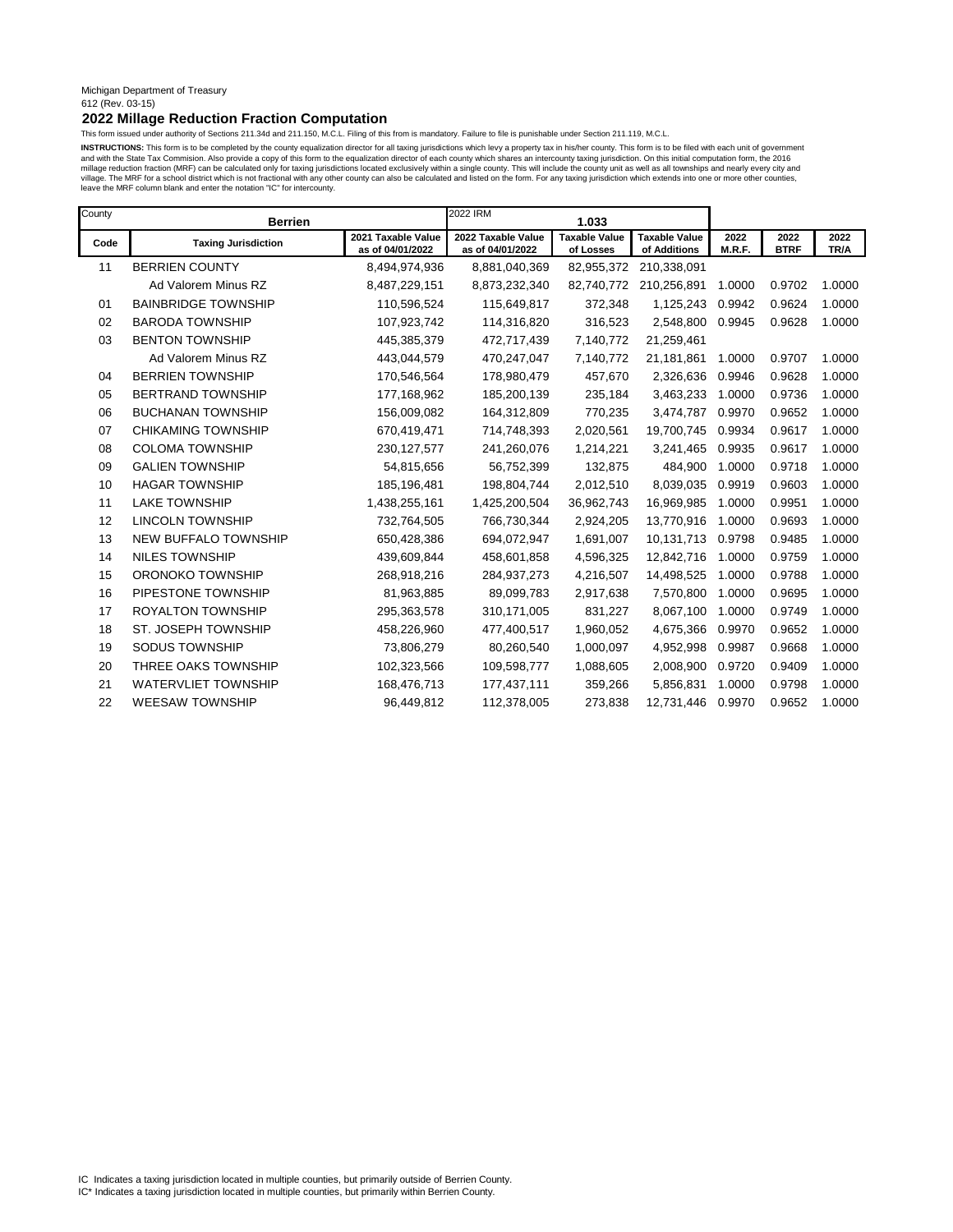### Michigan Department of Treasury 612 (Rev. 03-15)

### **2022 Millage Reduction Fraction Computation**

This form issued under authority of Sections 211.34d and 211.150, M.C.L. Filing of this from is mandatory. Failure to file is punishable under Section 211.119, M.C.L.

INSTRUCTIONS: This form is to be completed by the county equalization director for all taxing jurisdictions which levy a property tax in his/her county. This form is to be filed with each unit of government and with the State Tax Commision. Also provide a copy of this form to the equalization director of each county which shares an intercounty taxing jurisdiction. On this initial computation form, the 2016<br>millage reduction f leave the MRF column blank and enter the notation "IC" for intercounty.

| County | <b>Berrien</b>             |                                        | 2022 IRM                               | 1.033                             |                                      |                |                     |              |
|--------|----------------------------|----------------------------------------|----------------------------------------|-----------------------------------|--------------------------------------|----------------|---------------------|--------------|
| Code   | <b>Taxing Jurisdiction</b> | 2021 Taxable Value<br>as of 04/01/2022 | 2022 Taxable Value<br>as of 04/01/2022 | <b>Taxable Value</b><br>of Losses | <b>Taxable Value</b><br>of Additions | 2022<br>M.R.F. | 2022<br><b>BTRF</b> | 2022<br>TR/A |
| 11     | <b>BERRIEN COUNTY</b>      | 8,494,974,936                          | 8,881,040,369                          | 82,955,372                        | 210,338,091                          |                |                     |              |
|        | Ad Valorem Minus RZ        | 8,487,229,151                          | 8,873,232,340                          | 82,740,772                        | 210,256,891                          | 1.0000         | 0.9702              | 1.0000       |
| 01     | <b>BAINBRIDGE TOWNSHIP</b> | 110,596,524                            | 115,649,817                            | 372,348                           | 1,125,243                            | 0.9942         | 0.9624              | 1.0000       |
| 02     | <b>BARODA TOWNSHIP</b>     | 107,923,742                            | 114,316,820                            | 316,523                           | 2,548,800                            | 0.9945         | 0.9628              | 1.0000       |
| 03     | <b>BENTON TOWNSHIP</b>     | 445,385,379                            | 472,717,439                            | 7,140,772                         | 21,259,461                           |                |                     |              |
|        | Ad Valorem Minus RZ        | 443,044,579                            | 470,247,047                            | 7,140,772                         | 21,181,861                           | 1.0000         | 0.9707              | 1.0000       |
| 04     | <b>BERRIEN TOWNSHIP</b>    | 170,546,564                            | 178,980,479                            | 457,670                           | 2,326,636                            | 0.9946         | 0.9628              | 1.0000       |
| 05     | <b>BERTRAND TOWNSHIP</b>   | 177,168,962                            | 185,200,139                            | 235,184                           | 3,463,233                            | 1.0000         | 0.9736              | 1.0000       |
| 06     | <b>BUCHANAN TOWNSHIP</b>   | 156,009,082                            | 164,312,809                            | 770,235                           | 3,474,787                            | 0.9970         | 0.9652              | 1.0000       |
| 07     | <b>CHIKAMING TOWNSHIP</b>  | 670,419,471                            | 714,748,393                            | 2,020,561                         | 19,700,745                           | 0.9934         | 0.9617              | 1.0000       |
| 08     | <b>COLOMA TOWNSHIP</b>     | 230, 127, 577                          | 241,260,076                            | 1,214,221                         | 3,241,465                            | 0.9935         | 0.9617              | 1.0000       |
| 09     | <b>GALIEN TOWNSHIP</b>     | 54,815,656                             | 56,752,399                             | 132,875                           | 484,900                              | 1.0000         | 0.9718              | 1.0000       |
| 10     | <b>HAGAR TOWNSHIP</b>      | 185,196,481                            | 198,804,744                            | 2,012,510                         | 8,039,035                            | 0.9919         | 0.9603              | 1.0000       |
| 11     | <b>LAKE TOWNSHIP</b>       | 1,438,255,161                          | 1,425,200,504                          | 36,962,743                        | 16,969,985                           | 1.0000         | 0.9951              | 1.0000       |
| 12     | <b>LINCOLN TOWNSHIP</b>    | 732,764,505                            | 766,730,344                            | 2,924,205                         | 13,770,916                           | 1.0000         | 0.9693              | 1.0000       |
| 13     | NEW BUFFALO TOWNSHIP       | 650,428,386                            | 694,072,947                            | 1,691,007                         | 10,131,713                           | 0.9798         | 0.9485              | 1.0000       |
| 14     | <b>NILES TOWNSHIP</b>      | 439,609,844                            | 458,601,858                            | 4,596,325                         | 12,842,716                           | 1.0000         | 0.9759              | 1.0000       |
| 15     | ORONOKO TOWNSHIP           | 268,918,216                            | 284,937,273                            | 4,216,507                         | 14,498,525                           | 1.0000         | 0.9788              | 1.0000       |
| 16     | PIPESTONE TOWNSHIP         | 81,963,885                             | 89,099,783                             | 2,917,638                         | 7,570,800                            | 1.0000         | 0.9695              | 1.0000       |
| 17     | <b>ROYALTON TOWNSHIP</b>   | 295,363,578                            | 310,171,005                            | 831,227                           | 8,067,100                            | 1.0000         | 0.9749              | 1.0000       |
| 18     | ST. JOSEPH TOWNSHIP        | 458,226,960                            | 477,400,517                            | 1,960,052                         | 4,675,366                            | 0.9970         | 0.9652              | 1.0000       |
| 19     | SODUS TOWNSHIP             | 73,806,279                             | 80,260,540                             | 1,000,097                         | 4,952,998                            | 0.9987         | 0.9668              | 1.0000       |
| 20     | THREE OAKS TOWNSHIP        | 102,323,566                            | 109,598,777                            | 1,088,605                         | 2,008,900                            | 0.9720         | 0.9409              | 1.0000       |
| 21     | <b>WATERVLIET TOWNSHIP</b> | 168,476,713                            | 177,437,111                            | 359,266                           | 5,856,831                            | 1.0000         | 0.9798              | 1.0000       |
| 22     | <b>WEESAW TOWNSHIP</b>     | 96,449,812                             | 112,378,005                            | 273,838                           | 12,731,446                           | 0.9970         | 0.9652              | 1.0000       |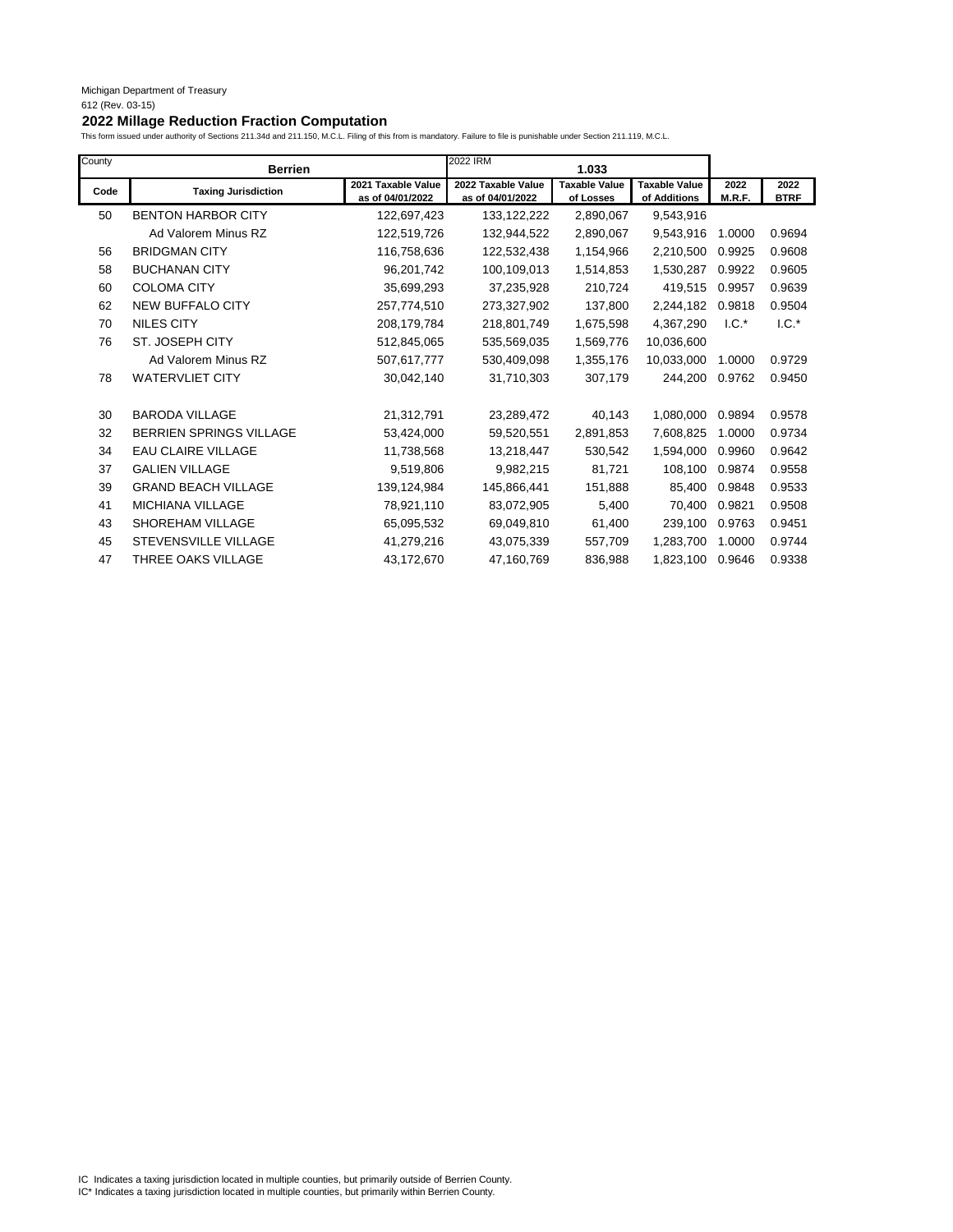| County | <b>Berrien</b>              |                                        | 2022 IRM                               | 1.033                             |                                      |                |                     |
|--------|-----------------------------|----------------------------------------|----------------------------------------|-----------------------------------|--------------------------------------|----------------|---------------------|
| Code   | <b>Taxing Jurisdiction</b>  | 2021 Taxable Value<br>as of 04/01/2022 | 2022 Taxable Value<br>as of 04/01/2022 | <b>Taxable Value</b><br>of Losses | <b>Taxable Value</b><br>of Additions | 2022<br>M.R.F. | 2022<br><b>BTRF</b> |
| 50     | <b>BENTON HARBOR CITY</b>   | 122,697,423                            | 133, 122, 222                          | 2,890,067                         | 9,543,916                            |                |                     |
|        | Ad Valorem Minus RZ         | 122,519,726                            | 132,944,522                            | 2,890,067                         | 9,543,916                            | 1.0000         | 0.9694              |
| 56     | <b>BRIDGMAN CITY</b>        | 116,758,636                            | 122,532,438                            | 1,154,966                         | 2,210,500                            | 0.9925         | 0.9608              |
| 58     | <b>BUCHANAN CITY</b>        | 96,201,742                             | 100,109,013                            | 1,514,853                         | 1,530,287                            | 0.9922         | 0.9605              |
| 60     | <b>COLOMA CITY</b>          | 35,699,293                             | 37,235,928                             | 210,724                           | 419,515                              | 0.9957         | 0.9639              |
| 62     | NEW BUFFALO CITY            | 257,774,510                            | 273,327,902                            | 137,800                           | 2,244,182                            | 0.9818         | 0.9504              |
| 70     | <b>NILES CITY</b>           | 208,179,784                            | 218,801,749                            | 1,675,598                         | 4,367,290                            | $1.C.*$        | $1.C.*$             |
| 76     | ST. JOSEPH CITY             | 512,845,065                            | 535,569,035                            | 1,569,776                         | 10,036,600                           |                |                     |
|        | Ad Valorem Minus RZ         | 507,617,777                            | 530,409,098                            | 1,355,176                         | 10,033,000                           | 1.0000         | 0.9729              |
| 78     | <b>WATERVLIET CITY</b>      | 30,042,140                             | 31,710,303                             | 307,179                           | 244,200                              | 0.9762         | 0.9450              |
| 30     | <b>BARODA VILLAGE</b>       | 21,312,791                             | 23,289,472                             | 40,143                            | 1,080,000                            | 0.9894         | 0.9578              |
| 32     | BERRIEN SPRINGS VILLAGE     | 53,424,000                             | 59,520,551                             | 2,891,853                         | 7,608,825                            | 1.0000         | 0.9734              |
| 34     | <b>EAU CLAIRE VILLAGE</b>   | 11,738,568                             | 13,218,447                             | 530,542                           | 1,594,000                            | 0.9960         | 0.9642              |
| 37     | <b>GALIEN VILLAGE</b>       | 9,519,806                              | 9,982,215                              | 81,721                            | 108,100                              | 0.9874         | 0.9558              |
| 39     | <b>GRAND BEACH VILLAGE</b>  | 139,124,984                            | 145,866,441                            | 151,888                           | 85,400                               | 0.9848         | 0.9533              |
| 41     | MICHIANA VILLAGE            | 78,921,110                             | 83,072,905                             | 5,400                             | 70,400                               | 0.9821         | 0.9508              |
| 43     | <b>SHOREHAM VILLAGE</b>     | 65,095,532                             | 69,049,810                             | 61,400                            | 239.100                              | 0.9763         | 0.9451              |
| 45     | <b>STEVENSVILLE VILLAGE</b> | 41,279,216                             | 43,075,339                             | 557,709                           | 1,283,700                            | 1.0000         | 0.9744              |
| 47     | THREE OAKS VILLAGE          | 43,172,670                             | 47,160,769                             | 836,988                           | 1,823,100                            | 0.9646         | 0.9338              |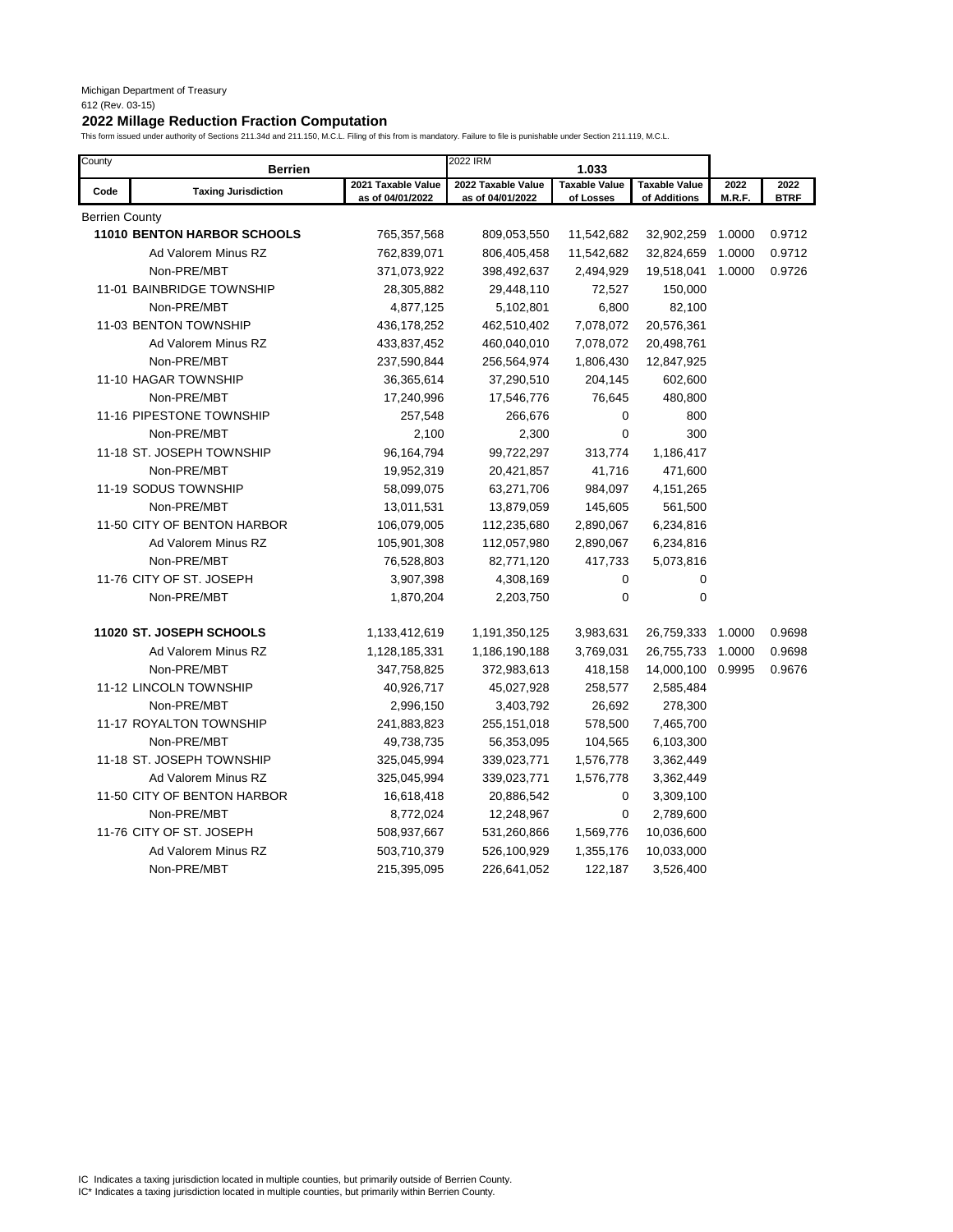| County         | Berrien                     |                                        | 2022 IRM                               | 1.033                             |                                      |                |                     |
|----------------|-----------------------------|----------------------------------------|----------------------------------------|-----------------------------------|--------------------------------------|----------------|---------------------|
| Code           | <b>Taxing Jurisdiction</b>  | 2021 Taxable Value<br>as of 04/01/2022 | 2022 Taxable Value<br>as of 04/01/2022 | <b>Taxable Value</b><br>of Losses | <b>Taxable Value</b><br>of Additions | 2022<br>M.R.F. | 2022<br><b>BTRF</b> |
| Berrien County |                             |                                        |                                        |                                   |                                      |                |                     |
|                | 11010 BENTON HARBOR SCHOOLS | 765,357,568                            | 809,053,550                            | 11,542,682                        | 32,902,259                           | 1.0000         | 0.9712              |
|                | Ad Valorem Minus RZ         | 762,839,071                            | 806,405,458                            | 11,542,682                        | 32,824,659                           | 1.0000         | 0.9712              |
|                | Non-PRE/MBT                 | 371,073,922                            | 398,492,637                            | 2,494,929                         | 19,518,041                           | 1.0000         | 0.9726              |
|                | 11-01 BAINBRIDGE TOWNSHIP   | 28,305,882                             | 29,448,110                             | 72,527                            | 150,000                              |                |                     |
|                | Non-PRE/MBT                 | 4,877,125                              | 5,102,801                              | 6,800                             | 82,100                               |                |                     |
|                | 11-03 BENTON TOWNSHIP       | 436,178,252                            | 462,510,402                            | 7,078,072                         | 20,576,361                           |                |                     |
|                | Ad Valorem Minus RZ         | 433,837,452                            | 460,040,010                            | 7,078,072                         | 20,498,761                           |                |                     |
|                | Non-PRE/MBT                 | 237,590,844                            | 256,564,974                            | 1,806,430                         | 12,847,925                           |                |                     |
|                | 11-10 HAGAR TOWNSHIP        | 36,365,614                             | 37,290,510                             | 204,145                           | 602,600                              |                |                     |
|                | Non-PRE/MBT                 | 17,240,996                             | 17,546,776                             | 76,645                            | 480,800                              |                |                     |
|                | 11-16 PIPESTONE TOWNSHIP    | 257,548                                | 266,676                                | 0                                 | 800                                  |                |                     |
|                | Non-PRE/MBT                 | 2,100                                  | 2,300                                  | $\mathbf 0$                       | 300                                  |                |                     |
|                | 11-18 ST. JOSEPH TOWNSHIP   | 96,164,794                             | 99,722,297                             | 313,774                           | 1,186,417                            |                |                     |
|                | Non-PRE/MBT                 | 19,952,319                             | 20,421,857                             | 41,716                            | 471,600                              |                |                     |
|                | 11-19 SODUS TOWNSHIP        | 58,099,075                             | 63,271,706                             | 984,097                           | 4,151,265                            |                |                     |
|                | Non-PRE/MBT                 | 13,011,531                             | 13,879,059                             | 145,605                           | 561,500                              |                |                     |
|                | 11-50 CITY OF BENTON HARBOR | 106,079,005                            | 112,235,680                            | 2,890,067                         | 6,234,816                            |                |                     |
|                | Ad Valorem Minus RZ         | 105,901,308                            | 112,057,980                            | 2,890,067                         | 6,234,816                            |                |                     |
|                | Non-PRE/MBT                 | 76,528,803                             | 82,771,120                             | 417,733                           | 5,073,816                            |                |                     |
|                | 11-76 CITY OF ST. JOSEPH    | 3,907,398                              | 4,308,169                              | 0                                 | 0                                    |                |                     |
|                | Non-PRE/MBT                 | 1,870,204                              | 2,203,750                              | 0                                 | 0                                    |                |                     |
|                | 11020 ST. JOSEPH SCHOOLS    | 1,133,412,619                          | 1,191,350,125                          | 3,983,631                         | 26,759,333                           | 1.0000         | 0.9698              |
|                | Ad Valorem Minus RZ         | 1,128,185,331                          | 1,186,190,188                          | 3,769,031                         | 26,755,733                           | 1.0000         | 0.9698              |
|                | Non-PRE/MBT                 | 347,758,825                            | 372,983,613                            | 418,158                           | 14,000,100                           | 0.9995         | 0.9676              |
|                | 11-12 LINCOLN TOWNSHIP      | 40,926,717                             | 45,027,928                             | 258,577                           | 2,585,484                            |                |                     |
|                | Non-PRE/MBT                 | 2,996,150                              | 3,403,792                              | 26,692                            | 278,300                              |                |                     |
|                | 11-17 ROYALTON TOWNSHIP     | 241,883,823                            | 255, 151, 018                          | 578,500                           | 7,465,700                            |                |                     |
|                | Non-PRE/MBT                 | 49,738,735                             | 56,353,095                             | 104,565                           | 6,103,300                            |                |                     |
|                | 11-18 ST. JOSEPH TOWNSHIP   | 325,045,994                            | 339,023,771                            | 1,576,778                         | 3,362,449                            |                |                     |
|                | Ad Valorem Minus RZ         | 325,045,994                            | 339,023,771                            | 1,576,778                         | 3,362,449                            |                |                     |
|                | 11-50 CITY OF BENTON HARBOR | 16,618,418                             | 20,886,542                             | 0                                 | 3,309,100                            |                |                     |
|                | Non-PRE/MBT                 | 8,772,024                              | 12,248,967                             | $\mathbf 0$                       | 2,789,600                            |                |                     |
|                | 11-76 CITY OF ST. JOSEPH    | 508,937,667                            | 531,260,866                            | 1,569,776                         | 10,036,600                           |                |                     |
|                | Ad Valorem Minus RZ         | 503,710,379                            | 526,100,929                            | 1,355,176                         | 10,033,000                           |                |                     |
|                | Non-PRE/MBT                 | 215,395,095                            | 226,641,052                            | 122,187                           | 3,526,400                            |                |                     |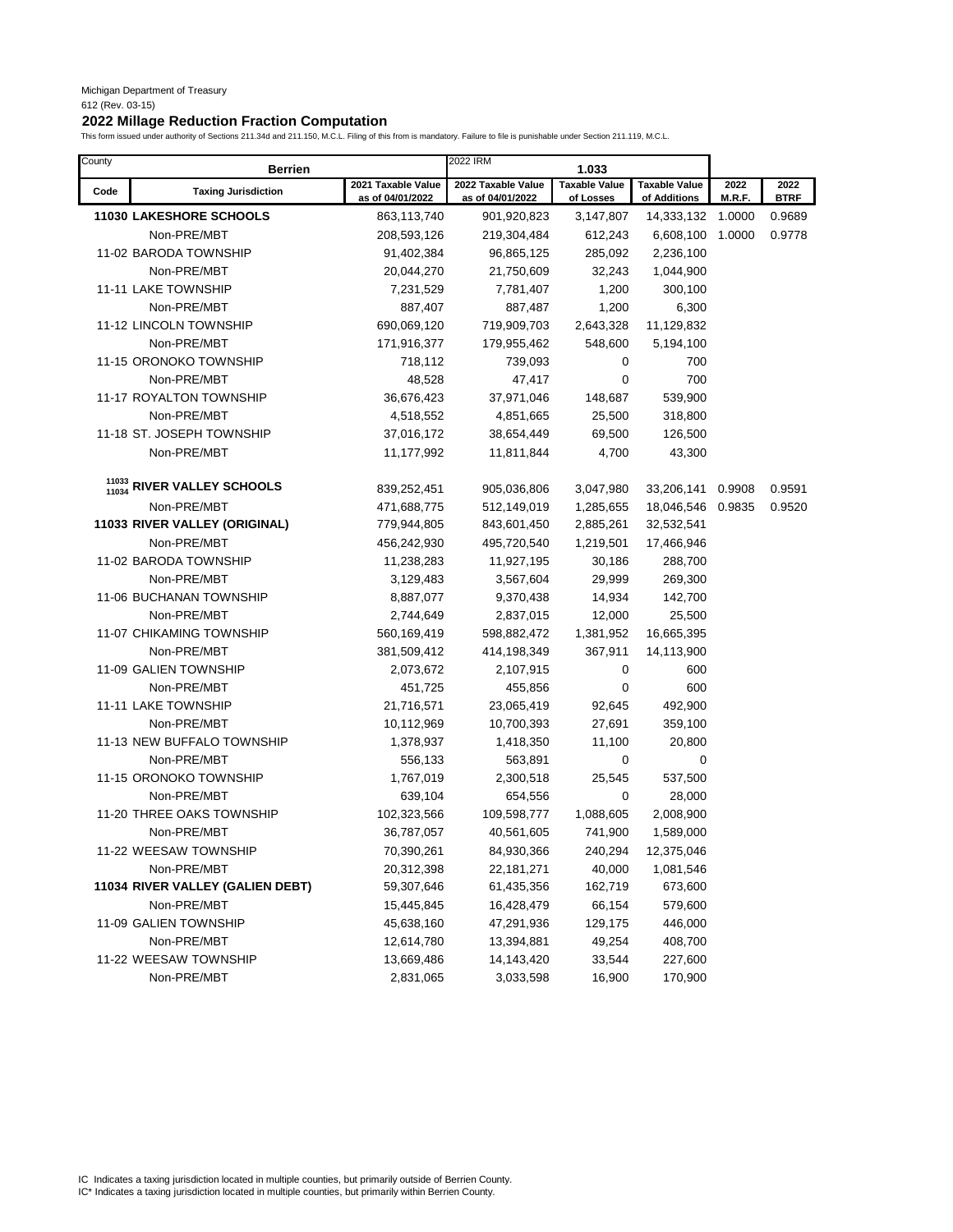| County         | <b>Berrien</b>                   |                                        | 2022 IRM                               | 1.033                             |                                      |                |                     |
|----------------|----------------------------------|----------------------------------------|----------------------------------------|-----------------------------------|--------------------------------------|----------------|---------------------|
| Code           | <b>Taxing Jurisdiction</b>       | 2021 Taxable Value<br>as of 04/01/2022 | 2022 Taxable Value<br>as of 04/01/2022 | <b>Taxable Value</b><br>of Losses | <b>Taxable Value</b><br>of Additions | 2022<br>M.R.F. | 2022<br><b>BTRF</b> |
|                | <b>11030 LAKESHORE SCHOOLS</b>   | 863,113,740                            | 901,920,823                            | 3,147,807                         | 14,333,132                           | 1.0000         | 0.9689              |
|                | Non-PRE/MBT                      | 208,593,126                            | 219,304,484                            | 612,243                           | 6,608,100                            | 1.0000         | 0.9778              |
|                | 11-02 BARODA TOWNSHIP            | 91,402,384                             | 96,865,125                             | 285,092                           | 2,236,100                            |                |                     |
|                | Non-PRE/MBT                      | 20,044,270                             | 21,750,609                             | 32,243                            | 1,044,900                            |                |                     |
|                | 11-11 LAKE TOWNSHIP              | 7,231,529                              | 7,781,407                              | 1,200                             | 300,100                              |                |                     |
|                | Non-PRE/MBT                      | 887,407                                | 887,487                                | 1,200                             | 6,300                                |                |                     |
|                | 11-12 LINCOLN TOWNSHIP           | 690,069,120                            | 719,909,703                            | 2,643,328                         | 11,129,832                           |                |                     |
|                | Non-PRE/MBT                      | 171,916,377                            | 179,955,462                            | 548,600                           | 5,194,100                            |                |                     |
|                | 11-15 ORONOKO TOWNSHIP           | 718,112                                | 739,093                                | 0                                 | 700                                  |                |                     |
|                | Non-PRE/MBT                      | 48,528                                 | 47,417                                 | 0                                 | 700                                  |                |                     |
|                | 11-17 ROYALTON TOWNSHIP          | 36,676,423                             | 37,971,046                             | 148,687                           | 539,900                              |                |                     |
|                | Non-PRE/MBT                      | 4,518,552                              | 4,851,665                              | 25,500                            | 318,800                              |                |                     |
|                | 11-18 ST. JOSEPH TOWNSHIP        | 37,016,172                             | 38,654,449                             | 69,500                            | 126,500                              |                |                     |
|                | Non-PRE/MBT                      | 11,177,992                             | 11,811,844                             | 4,700                             | 43,300                               |                |                     |
|                |                                  |                                        |                                        |                                   |                                      |                |                     |
| 11033<br>11034 | <b>RIVER VALLEY SCHOOLS</b>      | 839,252,451                            | 905,036,806                            | 3,047,980                         | 33,206,141                           | 0.9908         | 0.9591              |
|                | Non-PRE/MBT                      | 471,688,775                            | 512,149,019                            | 1,285,655                         | 18,046,546 0.9835                    |                | 0.9520              |
|                | 11033 RIVER VALLEY (ORIGINAL)    | 779,944,805                            | 843,601,450                            | 2,885,261                         | 32,532,541                           |                |                     |
|                | Non-PRE/MBT                      | 456,242,930                            | 495,720,540                            | 1,219,501                         | 17,466,946                           |                |                     |
|                | 11-02 BARODA TOWNSHIP            | 11,238,283                             | 11,927,195                             | 30,186                            | 288,700                              |                |                     |
|                | Non-PRE/MBT                      | 3,129,483                              | 3,567,604                              | 29,999                            | 269,300                              |                |                     |
|                | 11-06 BUCHANAN TOWNSHIP          | 8,887,077                              | 9,370,438                              | 14,934                            | 142,700                              |                |                     |
|                | Non-PRE/MBT                      | 2,744,649                              | 2,837,015                              | 12,000                            | 25,500                               |                |                     |
|                | 11-07 CHIKAMING TOWNSHIP         | 560,169,419                            | 598,882,472                            | 1,381,952                         | 16,665,395                           |                |                     |
|                | Non-PRE/MBT                      | 381,509,412                            | 414,198,349                            | 367,911                           | 14,113,900                           |                |                     |
|                | 11-09 GALIEN TOWNSHIP            | 2,073,672                              | 2,107,915                              | 0                                 | 600                                  |                |                     |
|                | Non-PRE/MBT                      | 451,725                                | 455,856                                | 0                                 | 600                                  |                |                     |
|                | 11-11 LAKE TOWNSHIP              | 21,716,571                             | 23,065,419                             | 92,645                            | 492,900                              |                |                     |
|                | Non-PRE/MBT                      | 10,112,969                             | 10,700,393                             | 27,691                            | 359,100                              |                |                     |
|                | 11-13 NEW BUFFALO TOWNSHIP       | 1,378,937                              | 1,418,350                              | 11,100                            | 20,800                               |                |                     |
|                | Non-PRE/MBT                      | 556,133                                | 563,891                                | 0                                 | 0                                    |                |                     |
|                | 11-15 ORONOKO TOWNSHIP           | 1,767,019                              | 2,300,518                              | 25,545                            | 537,500                              |                |                     |
|                | Non-PRE/MBT                      | 639,104                                | 654,556                                | 0                                 | 28,000                               |                |                     |
|                | 11-20 THREE OAKS TOWNSHIP        | 102,323,566                            | 109,598,777                            | 1,088,605                         | 2,008,900                            |                |                     |
|                | Non-PRE/MBT                      | 36,787,057                             | 40,561,605                             | 741,900                           | 1,589,000                            |                |                     |
|                | 11-22 WEESAW TOWNSHIP            | 70,390,261                             | 84,930,366                             | 240,294                           | 12,375,046                           |                |                     |
|                | Non-PRE/MBT                      | 20,312,398                             | 22, 181, 271                           | 40,000                            | 1,081,546                            |                |                     |
|                | 11034 RIVER VALLEY (GALIEN DEBT) | 59,307,646                             | 61,435,356                             | 162,719                           | 673,600                              |                |                     |
|                | Non-PRE/MBT                      | 15,445,845                             | 16,428,479                             | 66,154                            | 579,600                              |                |                     |
|                | 11-09 GALIEN TOWNSHIP            | 45,638,160                             | 47,291,936                             | 129,175                           | 446,000                              |                |                     |
|                | Non-PRE/MBT                      | 12,614,780                             | 13,394,881                             | 49,254                            | 408,700                              |                |                     |
|                | 11-22 WEESAW TOWNSHIP            | 13,669,486                             | 14,143,420                             | 33,544                            | 227,600                              |                |                     |
|                | Non-PRE/MBT                      | 2,831,065                              | 3,033,598                              | 16,900                            | 170,900                              |                |                     |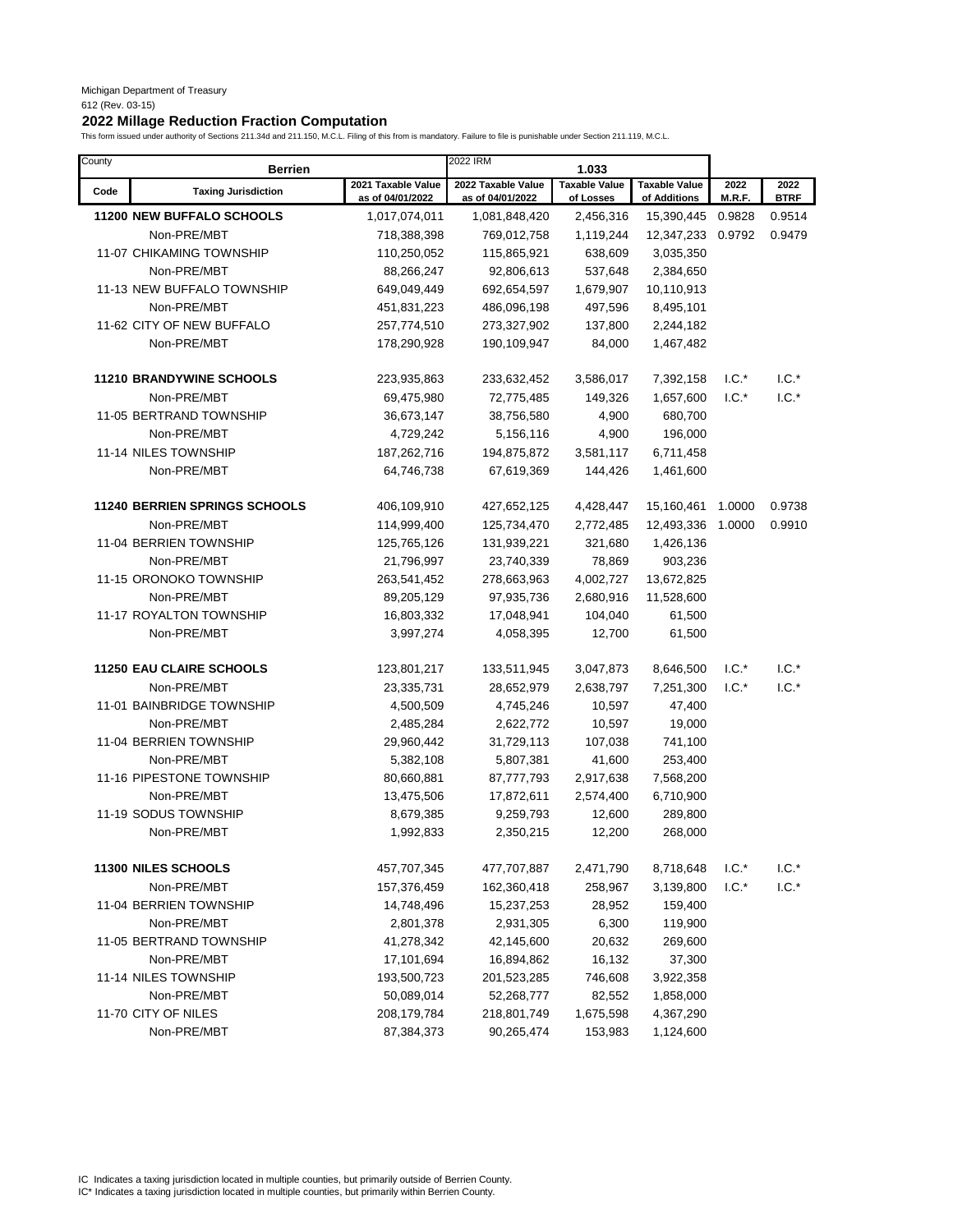# **2022 Millage Reduction Fraction Computation**

This form issued under authority of Sections 211.34d and 211.150, M.C.L. Filing of this from is mandatory. Failure to file is punishable under Section 211.119, M.C.L.

| County | <b>Berrien</b>                       |                                        | 2022 IRM                               | 1.033                             |                                      |                |                     |
|--------|--------------------------------------|----------------------------------------|----------------------------------------|-----------------------------------|--------------------------------------|----------------|---------------------|
| Code   | <b>Taxing Jurisdiction</b>           | 2021 Taxable Value<br>as of 04/01/2022 | 2022 Taxable Value<br>as of 04/01/2022 | <b>Taxable Value</b><br>of Losses | <b>Taxable Value</b><br>of Additions | 2022<br>M.R.F. | 2022<br><b>BTRF</b> |
|        | 11200 NEW BUFFALO SCHOOLS            | 1,017,074,011                          | 1,081,848,420                          | 2,456,316                         | 15,390,445                           | 0.9828         | 0.9514              |
|        | Non-PRE/MBT                          | 718,388,398                            | 769,012,758                            | 1,119,244                         | 12,347,233                           | 0.9792         | 0.9479              |
|        | <b>11-07 CHIKAMING TOWNSHIP</b>      | 110,250,052                            | 115,865,921                            | 638,609                           | 3,035,350                            |                |                     |
|        | Non-PRE/MBT                          | 88,266,247                             | 92,806,613                             | 537,648                           | 2,384,650                            |                |                     |
|        | 11-13 NEW BUFFALO TOWNSHIP           | 649,049,449                            | 692,654,597                            | 1,679,907                         | 10,110,913                           |                |                     |
|        | Non-PRE/MBT                          | 451,831,223                            | 486,096,198                            | 497,596                           | 8,495,101                            |                |                     |
|        | 11-62 CITY OF NEW BUFFALO            | 257,774,510                            | 273,327,902                            | 137,800                           | 2,244,182                            |                |                     |
|        | Non-PRE/MBT                          | 178,290,928                            | 190,109,947                            | 84,000                            | 1,467,482                            |                |                     |
|        | <b>11210 BRANDYWINE SCHOOLS</b>      | 223,935,863                            | 233,632,452                            | 3,586,017                         | 7,392,158                            | $1.C.^*$       | $1.C.*$             |
|        | Non-PRE/MBT                          | 69,475,980                             | 72,775,485                             | 149,326                           | 1,657,600                            | $1.C.*$        | $1.C.*$             |
|        | 11-05 BERTRAND TOWNSHIP              | 36,673,147                             | 38,756,580                             | 4,900                             | 680,700                              |                |                     |
|        | Non-PRE/MBT                          | 4,729,242                              | 5,156,116                              | 4,900                             | 196,000                              |                |                     |
|        | 11-14 NILES TOWNSHIP                 | 187,262,716                            | 194,875,872                            | 3,581,117                         | 6,711,458                            |                |                     |
|        | Non-PRE/MBT                          | 64,746,738                             | 67,619,369                             | 144,426                           | 1,461,600                            |                |                     |
|        | <b>11240 BERRIEN SPRINGS SCHOOLS</b> | 406,109,910                            | 427,652,125                            | 4,428,447                         | 15,160,461                           | 1.0000         | 0.9738              |
|        | Non-PRE/MBT                          | 114,999,400                            | 125,734,470                            | 2,772,485                         | 12,493,336                           | 1.0000         | 0.9910              |
|        | 11-04 BERRIEN TOWNSHIP               | 125,765,126                            | 131,939,221                            | 321,680                           | 1,426,136                            |                |                     |
|        | Non-PRE/MBT                          | 21,796,997                             | 23,740,339                             | 78,869                            | 903,236                              |                |                     |
|        | 11-15 ORONOKO TOWNSHIP               | 263,541,452                            | 278,663,963                            | 4,002,727                         | 13,672,825                           |                |                     |
|        | Non-PRE/MBT                          | 89,205,129                             | 97,935,736                             | 2,680,916                         | 11,528,600                           |                |                     |
|        | 11-17 ROYALTON TOWNSHIP              | 16,803,332                             | 17,048,941                             | 104,040                           | 61,500                               |                |                     |
|        | Non-PRE/MBT                          | 3,997,274                              | 4,058,395                              | 12,700                            | 61,500                               |                |                     |
|        | <b>11250 EAU CLAIRE SCHOOLS</b>      | 123,801,217                            | 133,511,945                            | 3,047,873                         | 8,646,500                            | $1.C.*$        | $1.C.*$             |
|        | Non-PRE/MBT                          | 23,335,731                             | 28,652,979                             | 2,638,797                         | 7,251,300                            | $1.C.*$        | $1.C.*$             |
|        | 11-01 BAINBRIDGE TOWNSHIP            | 4,500,509                              | 4,745,246                              | 10,597                            | 47,400                               |                |                     |
|        | Non-PRE/MBT                          | 2,485,284                              | 2,622,772                              | 10,597                            | 19,000                               |                |                     |
|        | 11-04 BERRIEN TOWNSHIP               | 29,960,442                             | 31,729,113                             | 107,038                           | 741,100                              |                |                     |
|        | Non-PRE/MBT                          | 5,382,108                              | 5,807,381                              | 41,600                            | 253,400                              |                |                     |
|        | 11-16 PIPESTONE TOWNSHIP             | 80,660,881                             | 87,777,793                             | 2,917,638                         | 7,568,200                            |                |                     |
|        | Non-PRE/MBT                          | 13,475,506                             | 17,872,611                             | 2,574,400                         | 6,710,900                            |                |                     |
|        | 11-19 SODUS TOWNSHIP                 | 8,679,385                              | 9,259,793                              | 12,600                            | 289,800                              |                |                     |
|        | Non-PRE/MBT                          | 1,992,833                              | 2,350,215                              | 12,200                            | 268,000                              |                |                     |
|        | 11300 NILES SCHOOLS                  | 457,707,345                            | 477,707,887                            | 2,471,790                         | 8,718,648                            | $1.C.*$        | $1.C.^*$            |
|        | Non-PRE/MBT                          | 157,376,459                            | 162,360,418                            | 258,967                           | 3,139,800                            | $I.C.*$        | $1.C.^*$            |
|        | 11-04 BERRIEN TOWNSHIP               | 14,748,496                             | 15,237,253                             | 28,952                            | 159,400                              |                |                     |
|        | Non-PRE/MBT                          | 2,801,378                              | 2,931,305                              | 6,300                             | 119,900                              |                |                     |
|        | 11-05 BERTRAND TOWNSHIP              | 41,278,342                             | 42,145,600                             | 20,632                            | 269,600                              |                |                     |
|        | Non-PRE/MBT                          | 17,101,694                             | 16,894,862                             | 16,132                            | 37,300                               |                |                     |
|        | 11-14 NILES TOWNSHIP                 | 193,500,723                            | 201,523,285                            | 746,608                           | 3,922,358                            |                |                     |
|        | Non-PRE/MBT                          | 50,089,014                             | 52,268,777                             | 82,552                            | 1,858,000                            |                |                     |
|        | 11-70 CITY OF NILES                  | 208,179,784                            | 218,801,749                            | 1,675,598                         | 4,367,290                            |                |                     |
|        | Non-PRE/MBT                          | 87,384,373                             | 90,265,474                             | 153,983                           | 1,124,600                            |                |                     |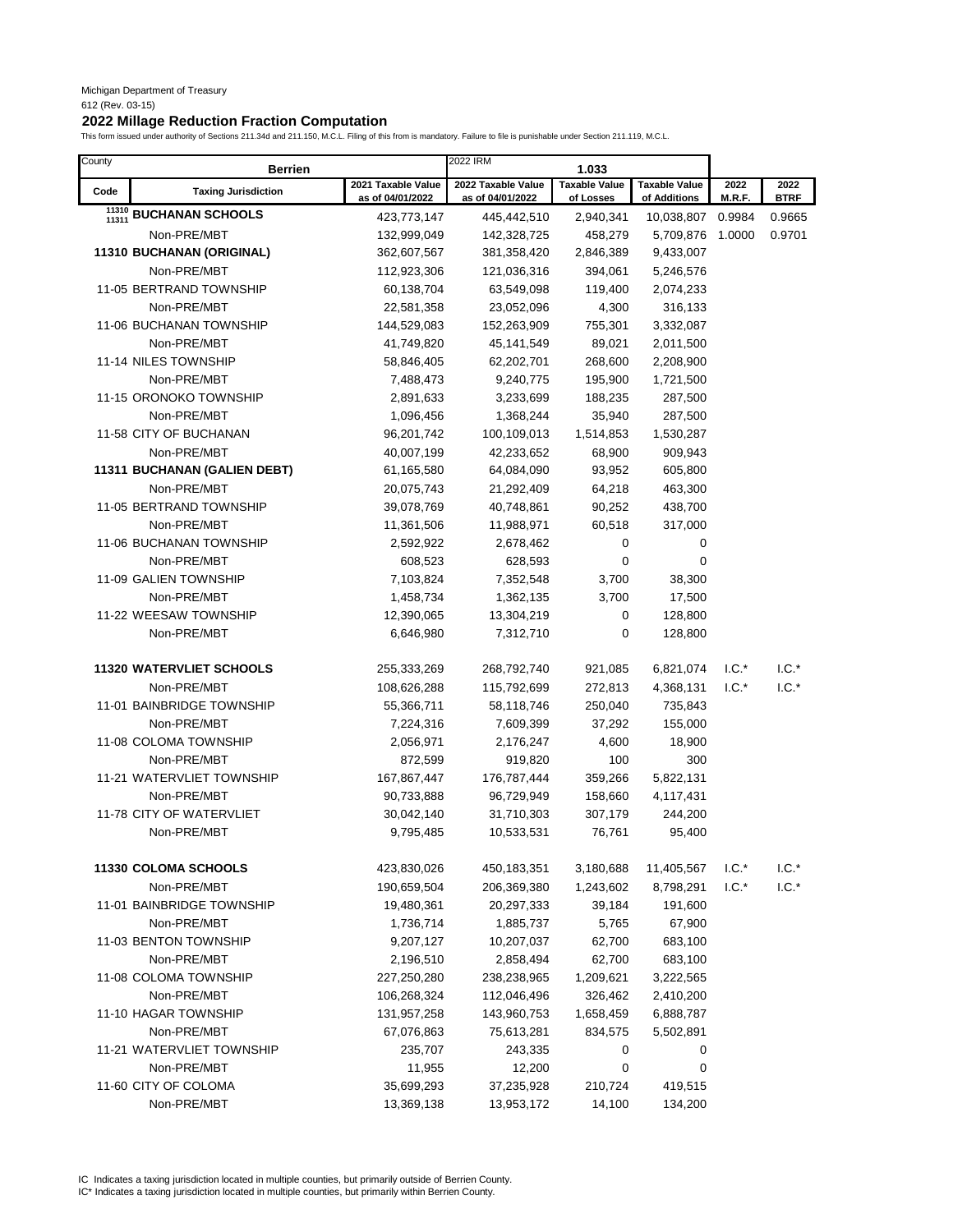### **2022 Millage Reduction Fraction Computation**

This form issued under authority of Sections 211.34d and 211.150, M.C.L. Filing of this from is mandatory. Failure to file is punishable under Section 211.119, M.C.L.

| County         | <b>Berrien</b>                  |                                        | 2022 IRM                               | 1.033                             |                                      |                |                     |
|----------------|---------------------------------|----------------------------------------|----------------------------------------|-----------------------------------|--------------------------------------|----------------|---------------------|
| Code           | <b>Taxing Jurisdiction</b>      | 2021 Taxable Value<br>as of 04/01/2022 | 2022 Taxable Value<br>as of 04/01/2022 | <b>Taxable Value</b><br>of Losses | <b>Taxable Value</b><br>of Additions | 2022<br>M.R.F. | 2022<br><b>BTRF</b> |
| 11310<br>11311 | <b>BUCHANAN SCHOOLS</b>         | 423,773,147                            | 445,442,510                            | 2,940,341                         | 10,038,807                           | 0.9984         | 0.9665              |
|                | Non-PRE/MBT                     | 132,999,049                            | 142,328,725                            | 458,279                           | 5,709,876                            | 1.0000         | 0.9701              |
|                | 11310 BUCHANAN (ORIGINAL)       | 362,607,567                            | 381,358,420                            | 2,846,389                         | 9,433,007                            |                |                     |
|                | Non-PRE/MBT                     | 112,923,306                            | 121,036,316                            | 394,061                           | 5,246,576                            |                |                     |
|                | 11-05 BERTRAND TOWNSHIP         | 60,138,704                             | 63,549,098                             | 119,400                           | 2,074,233                            |                |                     |
|                | Non-PRE/MBT                     | 22,581,358                             | 23,052,096                             | 4,300                             | 316,133                              |                |                     |
|                | 11-06 BUCHANAN TOWNSHIP         | 144,529,083                            | 152,263,909                            | 755,301                           | 3,332,087                            |                |                     |
|                | Non-PRE/MBT                     | 41,749,820                             | 45,141,549                             | 89,021                            | 2,011,500                            |                |                     |
|                | 11-14 NILES TOWNSHIP            | 58,846,405                             | 62,202,701                             | 268,600                           | 2,208,900                            |                |                     |
|                | Non-PRE/MBT                     | 7,488,473                              | 9,240,775                              | 195,900                           | 1,721,500                            |                |                     |
|                | 11-15 ORONOKO TOWNSHIP          | 2,891,633                              | 3,233,699                              | 188,235                           | 287,500                              |                |                     |
|                | Non-PRE/MBT                     | 1,096,456                              | 1,368,244                              | 35,940                            | 287,500                              |                |                     |
|                | 11-58 CITY OF BUCHANAN          | 96,201,742                             | 100,109,013                            | 1,514,853                         | 1,530,287                            |                |                     |
|                | Non-PRE/MBT                     | 40,007,199                             | 42,233,652                             | 68,900                            | 909,943                              |                |                     |
|                | 11311 BUCHANAN (GALIEN DEBT)    | 61,165,580                             | 64,084,090                             | 93,952                            | 605,800                              |                |                     |
|                | Non-PRE/MBT                     | 20,075,743                             | 21,292,409                             | 64,218                            | 463,300                              |                |                     |
|                | 11-05 BERTRAND TOWNSHIP         | 39,078,769                             | 40,748,861                             | 90,252                            | 438,700                              |                |                     |
|                | Non-PRE/MBT                     | 11,361,506                             | 11,988,971                             | 60,518                            | 317,000                              |                |                     |
|                | 11-06 BUCHANAN TOWNSHIP         | 2,592,922                              | 2,678,462                              | 0                                 | 0                                    |                |                     |
|                | Non-PRE/MBT                     | 608,523                                | 628,593                                | 0                                 | 0                                    |                |                     |
|                | 11-09 GALIEN TOWNSHIP           | 7,103,824                              | 7,352,548                              | 3,700                             | 38,300                               |                |                     |
|                | Non-PRE/MBT                     | 1,458,734                              | 1,362,135                              | 3,700                             | 17,500                               |                |                     |
|                | 11-22 WEESAW TOWNSHIP           | 12,390,065                             | 13,304,219                             | 0                                 | 128,800                              |                |                     |
|                | Non-PRE/MBT                     | 6,646,980                              | 7,312,710                              | 0                                 | 128,800                              |                |                     |
|                | <b>11320 WATERVLIET SCHOOLS</b> | 255,333,269                            | 268,792,740                            | 921,085                           | 6,821,074                            | $1.C.^*$       | $1.C.*$             |
|                | Non-PRE/MBT                     | 108,626,288                            | 115,792,699                            | 272,813                           | 4,368,131                            | $1.C.*$        | $1.C.*$             |
|                | 11-01 BAINBRIDGE TOWNSHIP       | 55,366,711                             | 58,118,746                             | 250,040                           | 735,843                              |                |                     |
|                | Non-PRE/MBT                     | 7,224,316                              | 7,609,399                              | 37,292                            | 155,000                              |                |                     |
|                | 11-08 COLOMA TOWNSHIP           | 2,056,971                              | 2,176,247                              | 4,600                             | 18,900                               |                |                     |
|                | Non-PRE/MBT                     | 872,599                                | 919,820                                | 100                               | 300                                  |                |                     |
|                | 11-21 WATERVLIET TOWNSHIP       | 167,867,447                            | 176,787,444                            | 359,266                           | 5,822,131                            |                |                     |
|                | Non-PRE/MBT                     | 90,733,888                             | 96,729,949                             | 158,660                           | 4,117,431                            |                |                     |
|                | 11-78 CITY OF WATERVLIET        | 30,042,140                             | 31,710,303                             | 307,179                           | 244,200                              |                |                     |
|                | Non-PRE/MBT                     | 9,795,485                              | 10,533,531                             | 76,761                            | 95,400                               |                |                     |
|                | 11330 COLOMA SCHOOLS            | 423,830,026                            | 450,183,351                            | 3,180,688                         | 11,405,567                           | $1.C.*$        | $1.C.*$             |
|                | Non-PRE/MBT                     | 190,659,504                            | 206,369,380                            | 1,243,602                         | 8,798,291                            | $1.C.*$        | $1.C.*$             |
|                | 11-01 BAINBRIDGE TOWNSHIP       | 19,480,361                             | 20,297,333                             | 39,184                            | 191,600                              |                |                     |
|                | Non-PRE/MBT                     | 1,736,714                              | 1,885,737                              | 5,765                             | 67,900                               |                |                     |
|                | 11-03 BENTON TOWNSHIP           | 9,207,127                              | 10,207,037                             | 62,700                            | 683,100                              |                |                     |
|                | Non-PRE/MBT                     | 2,196,510                              | 2,858,494                              | 62,700                            | 683,100                              |                |                     |
|                | 11-08 COLOMA TOWNSHIP           | 227,250,280                            | 238,238,965                            | 1,209,621                         | 3,222,565                            |                |                     |
|                | Non-PRE/MBT                     | 106,268,324                            | 112,046,496                            | 326,462                           | 2,410,200                            |                |                     |
|                | 11-10 HAGAR TOWNSHIP            | 131,957,258                            | 143,960,753                            | 1,658,459                         | 6,888,787                            |                |                     |
|                | Non-PRE/MBT                     | 67,076,863                             | 75,613,281                             | 834,575                           | 5,502,891                            |                |                     |
|                | 11-21 WATERVLIET TOWNSHIP       | 235,707                                | 243,335                                | 0                                 | 0                                    |                |                     |
|                | Non-PRE/MBT                     | 11,955                                 | 12,200                                 | 0                                 | 0                                    |                |                     |
|                | 11-60 CITY OF COLOMA            | 35,699,293                             | 37,235,928                             | 210,724                           | 419,515                              |                |                     |
|                | Non-PRE/MBT                     | 13,369,138                             | 13,953,172                             | 14,100                            | 134,200                              |                |                     |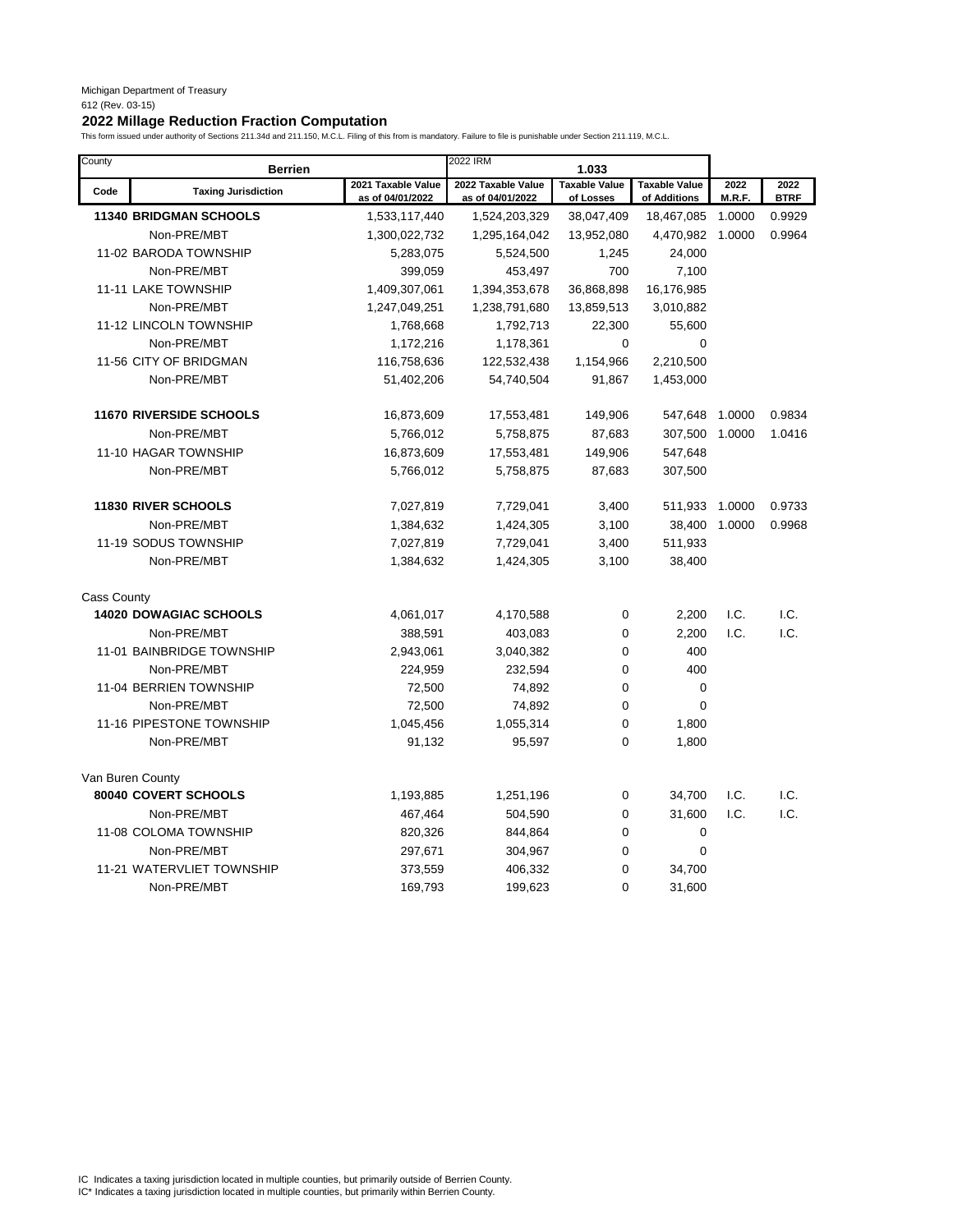| County             | <b>Berrien</b>                 |                                        | 2022 IRM                               | 1.033                             |                                      |                |                     |
|--------------------|--------------------------------|----------------------------------------|----------------------------------------|-----------------------------------|--------------------------------------|----------------|---------------------|
| Code               | <b>Taxing Jurisdiction</b>     | 2021 Taxable Value<br>as of 04/01/2022 | 2022 Taxable Value<br>as of 04/01/2022 | <b>Taxable Value</b><br>of Losses | <b>Taxable Value</b><br>of Additions | 2022<br>M.R.F. | 2022<br><b>BTRF</b> |
|                    | <b>11340 BRIDGMAN SCHOOLS</b>  | 1,533,117,440                          | 1,524,203,329                          | 38,047,409                        | 18,467,085                           | 1.0000         | 0.9929              |
|                    | Non-PRE/MBT                    | 1,300,022,732                          | 1,295,164,042                          | 13,952,080                        | 4,470,982                            | 1.0000         | 0.9964              |
|                    | 11-02 BARODA TOWNSHIP          | 5,283,075                              | 5,524,500                              | 1,245                             | 24,000                               |                |                     |
|                    | Non-PRE/MBT                    | 399,059                                | 453,497                                | 700                               | 7,100                                |                |                     |
|                    | 11-11 LAKE TOWNSHIP            | 1,409,307,061                          | 1,394,353,678                          | 36,868,898                        | 16,176,985                           |                |                     |
|                    | Non-PRE/MBT                    | 1,247,049,251                          | 1,238,791,680                          | 13,859,513                        | 3,010,882                            |                |                     |
|                    | 11-12 LINCOLN TOWNSHIP         | 1,768,668                              | 1,792,713                              | 22,300                            | 55,600                               |                |                     |
|                    | Non-PRE/MBT                    | 1,172,216                              | 1,178,361                              | $\mathbf 0$                       | 0                                    |                |                     |
|                    | 11-56 CITY OF BRIDGMAN         | 116,758,636                            | 122,532,438                            | 1,154,966                         | 2,210,500                            |                |                     |
|                    | Non-PRE/MBT                    | 51,402,206                             | 54,740,504                             | 91,867                            | 1,453,000                            |                |                     |
|                    | <b>11670 RIVERSIDE SCHOOLS</b> | 16,873,609                             | 17,553,481                             | 149,906                           | 547,648                              | 1.0000         | 0.9834              |
|                    | Non-PRE/MBT                    | 5,766,012                              | 5,758,875                              | 87,683                            | 307,500                              | 1.0000         | 1.0416              |
|                    | 11-10 HAGAR TOWNSHIP           | 16,873,609                             | 17,553,481                             | 149,906                           | 547,648                              |                |                     |
|                    | Non-PRE/MBT                    | 5,766,012                              | 5,758,875                              | 87,683                            | 307,500                              |                |                     |
|                    | <b>11830 RIVER SCHOOLS</b>     | 7,027,819                              | 7,729,041                              | 3,400                             | 511,933                              | 1.0000         | 0.9733              |
|                    | Non-PRE/MBT                    | 1,384,632                              | 1,424,305                              | 3,100                             | 38,400                               | 1.0000         | 0.9968              |
|                    | 11-19 SODUS TOWNSHIP           | 7,027,819                              | 7,729,041                              | 3,400                             | 511,933                              |                |                     |
|                    | Non-PRE/MBT                    | 1,384,632                              | 1,424,305                              | 3,100                             | 38,400                               |                |                     |
| <b>Cass County</b> |                                |                                        |                                        |                                   |                                      |                |                     |
|                    | <b>14020 DOWAGIAC SCHOOLS</b>  | 4,061,017                              | 4,170,588                              | $\mathbf 0$                       | 2,200                                | I.C.           | I.C.                |
|                    | Non-PRE/MBT                    | 388,591                                | 403,083                                | $\mathbf 0$                       | 2,200                                | I.C.           | I.C.                |
|                    | 11-01 BAINBRIDGE TOWNSHIP      | 2,943,061                              | 3,040,382                              | $\mathbf 0$                       | 400                                  |                |                     |
|                    | Non-PRE/MBT                    | 224,959                                | 232,594                                | $\mathbf 0$                       | 400                                  |                |                     |
|                    | 11-04 BERRIEN TOWNSHIP         | 72,500                                 | 74,892                                 | 0                                 | $\mathbf 0$                          |                |                     |
|                    | Non-PRE/MBT                    | 72,500                                 | 74,892                                 | $\mathbf 0$                       | $\mathbf 0$                          |                |                     |
|                    | 11-16 PIPESTONE TOWNSHIP       | 1,045,456                              | 1,055,314                              | $\mathbf 0$                       | 1,800                                |                |                     |
|                    | Non-PRE/MBT                    | 91,132                                 | 95,597                                 | $\mathbf 0$                       | 1,800                                |                |                     |
|                    | Van Buren County               |                                        |                                        |                                   |                                      |                |                     |
|                    | 80040 COVERT SCHOOLS           | 1,193,885                              | 1,251,196                              | $\mathbf 0$                       | 34,700                               | I.C.           | I.C.                |
|                    | Non-PRE/MBT                    | 467,464                                | 504,590                                | $\mathbf 0$                       | 31,600                               | I.C.           | I.C.                |
|                    | 11-08 COLOMA TOWNSHIP          | 820,326                                | 844,864                                | $\mathbf 0$                       | $\pmb{0}$                            |                |                     |
|                    | Non-PRE/MBT                    | 297,671                                | 304,967                                | $\mathbf 0$                       | $\mathbf 0$                          |                |                     |
|                    | 11-21 WATERVLIET TOWNSHIP      | 373,559                                | 406,332                                | $\mathbf 0$                       | 34,700                               |                |                     |
|                    | Non-PRE/MBT                    | 169,793                                | 199,623                                | $\Omega$                          | 31,600                               |                |                     |